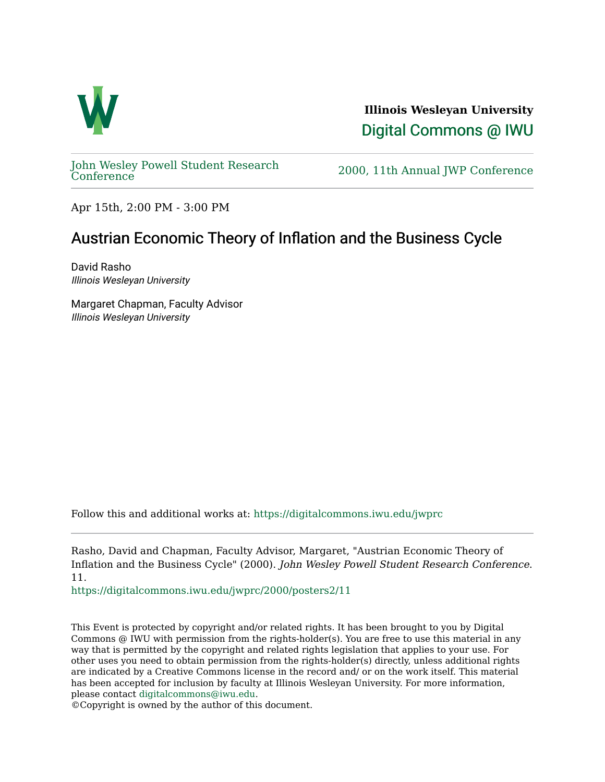

**Illinois Wesleyan University**  [Digital Commons @ IWU](https://digitalcommons.iwu.edu/) 

[John Wesley Powell Student Research](https://digitalcommons.iwu.edu/jwprc) 

2000, 11th Annual JWP [Conference](https://digitalcommons.iwu.edu/jwprc)

Apr 15th, 2:00 PM - 3:00 PM

## Austrian Economic Theory of Inflation and the Business Cycle

David Rasho Illinois Wesleyan University

Margaret Chapman, Faculty Advisor Illinois Wesleyan University

Follow this and additional works at: [https://digitalcommons.iwu.edu/jwprc](https://digitalcommons.iwu.edu/jwprc?utm_source=digitalcommons.iwu.edu%2Fjwprc%2F2000%2Fposters2%2F11&utm_medium=PDF&utm_campaign=PDFCoverPages) 

Rasho, David and Chapman, Faculty Advisor, Margaret, "Austrian Economic Theory of Inflation and the Business Cycle" (2000). John Wesley Powell Student Research Conference. 11.

[https://digitalcommons.iwu.edu/jwprc/2000/posters2/11](https://digitalcommons.iwu.edu/jwprc/2000/posters2/11?utm_source=digitalcommons.iwu.edu%2Fjwprc%2F2000%2Fposters2%2F11&utm_medium=PDF&utm_campaign=PDFCoverPages) 

This Event is protected by copyright and/or related rights. It has been brought to you by Digital Commons @ IWU with permission from the rights-holder(s). You are free to use this material in any way that is permitted by the copyright and related rights legislation that applies to your use. For other uses you need to obtain permission from the rights-holder(s) directly, unless additional rights are indicated by a Creative Commons license in the record and/ or on the work itself. This material has been accepted for inclusion by faculty at Illinois Wesleyan University. For more information, please contact [digitalcommons@iwu.edu.](mailto:digitalcommons@iwu.edu)

©Copyright is owned by the author of this document.